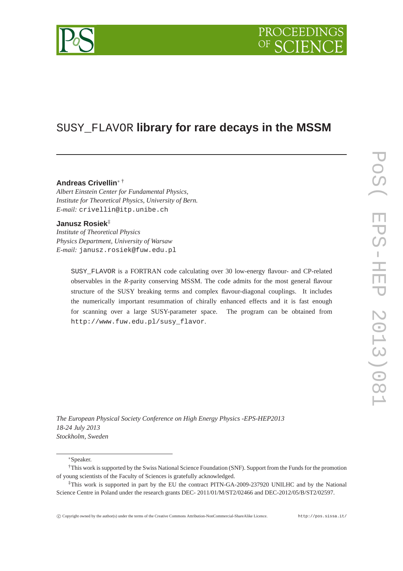

## SUSY\_FLAVOR **library for rare decays in the MSSM**

## **Andreas Crivellin**<sup>∗</sup> †

*Albert Einstein Center for Fundamental Physics, Institute for Theoretical Physics, University of Bern. E-mail:* crivellin@itp.unibe.ch

## **Janusz Rosiek**‡

*Institute of Theoretical Physics Physics Department, University of Warsaw E-mail:* janusz.rosiek@fuw.edu.pl

> SUSY\_FLAVOR is a FORTRAN code calculating over 30 low-energy flavour- and CP-related observables in the *R*-parity conserving MSSM. The code admits for the most general flavour structure of the SUSY breaking terms and complex flavour-diagonal couplings. It includes the numerically important resummation of chirally enhanced effects and it is fast enough for scanning over a large SUSY-parameter space. The program can be obtained from http://www.fuw.edu.pl/susy\_flavor.

*The European Physical Society Conference on High Energy Physics -EPS-HEP2013 18-24 July 2013 Stockholm, Sweden*

<sup>∗</sup>Speaker.

<sup>†</sup>This work is supported by the Swiss National Science Foundation (SNF). Support from the Funds for the promotion of young scientists of the Faculty of Sciences is gratefully acknowledged.

<sup>‡</sup>This work is supported in part by the EU the contract PITN-GA-2009-237920 UNILHC and by the National Science Centre in Poland under the research grants DEC- 2011/01/M/ST2/02466 and DEC-2012/05/B/ST2/02597.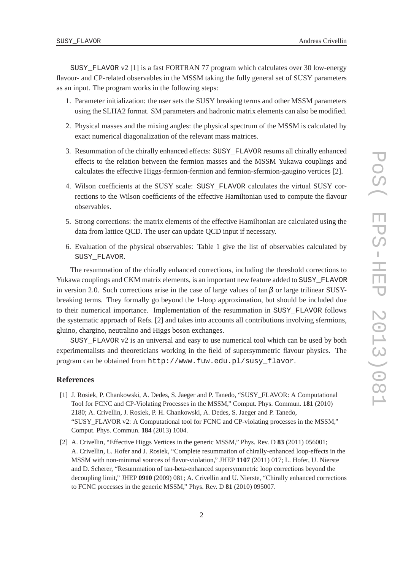SUSY\_FLAVOR v2 [1] is a fast FORTRAN 77 program which calculates over 30 low-energy flavour- and CP-related observables in the MSSM taking the fully general set of SUSY parameters as an input. The program works in the following steps:

- 1. Parameter initialization: the user sets the SUSY breaking terms and other MSSM parameters using the SLHA2 format. SM parameters and hadronic matrix elements can also be modified.
- 2. Physical masses and the mixing angles: the physical spectrum of the MSSM is calculated by exact numerical diagonalization of the relevant mass matrices.
- 3. Resummation of the chirally enhanced effects: SUSY\_FLAVOR resums all chirally enhanced effects to the relation between the fermion masses and the MSSM Yukawa couplings and calculates the effective Higgs-fermion-fermion and fermion-sfermion-gaugino vertices [2].
- 4. Wilson coefficients at the SUSY scale: SUSY\_FLAVOR calculates the virtual SUSY corrections to the Wilson coefficients of the effective Hamiltonian used to compute the flavour observables.
- 5. Strong corrections: the matrix elements of the effective Hamiltonian are calculated using the data from lattice QCD. The user can update QCD input if necessary.
- 6. Evaluation of the physical observables: Table 1 give the list of observables calculated by SUSY\_FLAVOR.

The resummation of the chirally enhanced corrections, including the threshold corrections to Yukawa couplings and CKM matrix elements, is an important new feature added to SUSY\_FLAVOR in version 2.0. Such corrections arise in the case of large values of tan $\beta$  or large trilinear SUSYbreaking terms. They formally go beyond the 1-loop approximation, but should be included due to their numerical importance. Implementation of the resummation in SUSY\_FLAVOR follows the systematic approach of Refs. [2] and takes into accounts all contributions involving sfermions, gluino, chargino, neutralino and Higgs boson exchanges.

SUSY FLAVOR v2 is an universal and easy to use numerical tool which can be used by both experimentalists and theoreticians working in the field of supersymmetric flavour physics. The program can be obtained from http://www.fuw.edu.pl/susy\_flavor.

## **References**

- [1] J. Rosiek, P. Chankowski, A. Dedes, S. Jaeger and P. Tanedo, "SUSY\_FLAVOR: A Computational Tool for FCNC and CP-Violating Processes in the MSSM," Comput. Phys. Commun. **181** (2010) 2180; A. Crivellin, J. Rosiek, P. H. Chankowski, A. Dedes, S. Jaeger and P. Tanedo, "SUSY\_FLAVOR v2: A Computational tool for FCNC and CP-violating processes in the MSSM," Comput. Phys. Commun. **184** (2013) 1004.
- [2] A. Crivellin, "Effective Higgs Vertices in the generic MSSM," Phys. Rev. D **83** (2011) 056001; A. Crivellin, L. Hofer and J. Rosiek, "Complete resummation of chirally-enhanced loop-effects in the MSSM with non-minimal sources of flavor-violation," JHEP **1107** (2011) 017; L. Hofer, U. Nierste and D. Scherer, "Resummation of tan-beta-enhanced supersymmetric loop corrections beyond the decoupling limit," JHEP **0910** (2009) 081; A. Crivellin and U. Nierste, "Chirally enhanced corrections to FCNC processes in the generic MSSM," Phys. Rev. D **81** (2010) 095007.